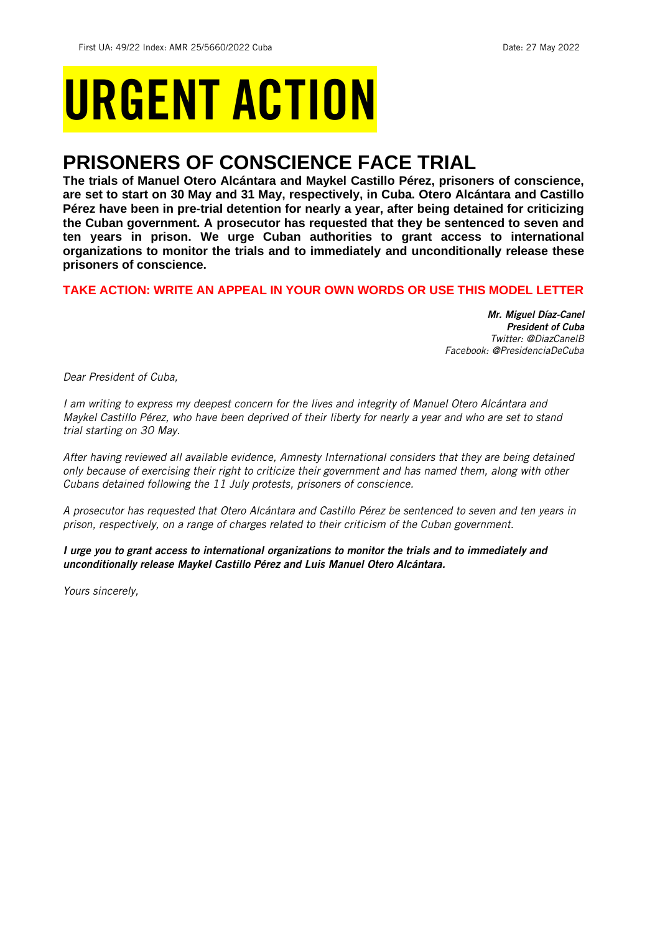# URGENT ACTION

## **PRISONERS OF CONSCIENCE FACE TRIAL**

**The trials of Manuel Otero Alcántara and Maykel Castillo Pérez, prisoners of conscience, are set to start on 30 May and 31 May, respectively, in Cuba. Otero Alcántara and Castillo Pérez have been in pre-trial detention for nearly a year, after being detained for criticizing the Cuban government. A prosecutor has requested that they be sentenced to seven and ten years in prison. We urge Cuban authorities to grant access to international organizations to monitor the trials and to immediately and unconditionally release these prisoners of conscience.**

## **TAKE ACTION: WRITE AN APPEAL IN YOUR OWN WORDS OR USE THIS MODEL LETTER**

*Mr. Miguel Díaz-Canel President of Cuba Twitter: @DiazCanelB Facebook: @PresidenciaDeCuba*

*Dear President of Cuba,*

*I am writing to express my deepest concern for the lives and integrity of Manuel Otero Alcántara and Maykel Castillo Pérez, who have been deprived of their liberty for nearly a year and who are set to stand trial starting on 30 May.*

*After having reviewed all available evidence, Amnesty International considers that they are being detained only because of exercising their right to criticize their government and has named them, along with other Cubans detained following the 11 July protests, prisoners of conscience.* 

*A prosecutor has requested that Otero Alcántara and Castillo Pérez be sentenced to seven and ten years in prison, respectively, on a range of charges related to their criticism of the Cuban government.*

*I urge you to grant access to international organizations to monitor the trials and to immediately and unconditionally release Maykel Castillo Pérez and Luis Manuel Otero Alcántara.* 

*Yours sincerely,*